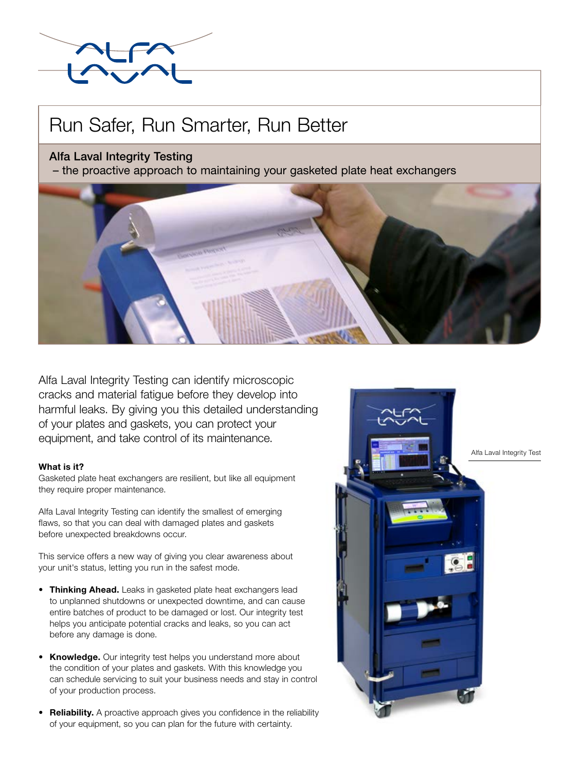# Run Safer, Run Smarter, Run Better

## Alfa Laval Integrity Testing

– the proactive approach to maintaining your gasketed plate heat exchangers



Alfa Laval Integrity Testing can identify microscopic cracks and material fatigue before they develop into harmful leaks. By giving you this detailed understanding of your plates and gaskets, you can protect your equipment, and take control of its maintenance.

### What is it?

Gasketed plate heat exchangers are resilient, but like all equipment they require proper maintenance.

Alfa Laval Integrity Testing can identify the smallest of emerging flaws, so that you can deal with damaged plates and gaskets before unexpected breakdowns occur.

This service offers a new way of giving you clear awareness about your unit's status, letting you run in the safest mode.

- Thinking Ahead. Leaks in gasketed plate heat exchangers lead to unplanned shutdowns or unexpected downtime, and can cause entire batches of product to be damaged or lost. Our integrity test helps you anticipate potential cracks and leaks, so you can act before any damage is done.
- Knowledge. Our integrity test helps you understand more about the condition of your plates and gaskets. With this knowledge you can schedule servicing to suit your business needs and stay in control of your production process.
- Reliability. A proactive approach gives you confidence in the reliability of your equipment, so you can plan for the future with certainty.



Alfa Laval Integrity Test